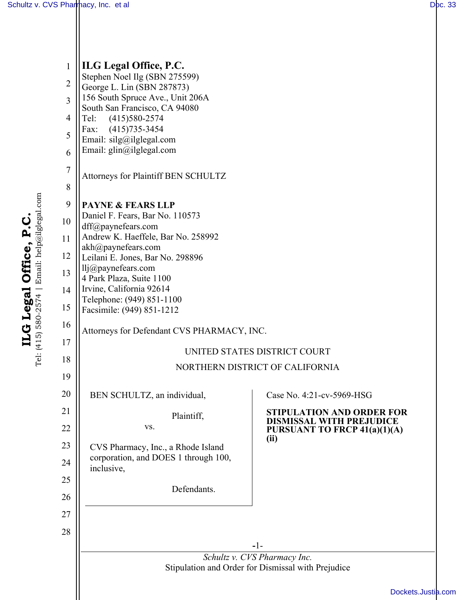| $\mathbf{1}$   | ILG Legal Office, P.C.                                                             |                                                          |  |  |
|----------------|------------------------------------------------------------------------------------|----------------------------------------------------------|--|--|
| $\overline{c}$ | Stephen Noel Ilg (SBN 275599)<br>George L. Lin (SBN 287873)                        |                                                          |  |  |
| $\overline{3}$ | 156 South Spruce Ave., Unit 206A                                                   |                                                          |  |  |
| $\overline{4}$ | South San Francisco, CA 94080<br>$(415)580-2574$<br>Tel:                           |                                                          |  |  |
| 5              | $(415)735 - 3454$<br>Fax:<br>Email: silg@ilglegal.com                              |                                                          |  |  |
| 6              | Email: glin@ilglegal.com                                                           |                                                          |  |  |
| $\overline{7}$ |                                                                                    |                                                          |  |  |
| 8              | Attorneys for Plaintiff BEN SCHULTZ                                                |                                                          |  |  |
| 9              | <b>PAYNE &amp; FEARS LLP</b>                                                       |                                                          |  |  |
| 10             | Daniel F. Fears, Bar No. 110573                                                    |                                                          |  |  |
| 11             | dff@paynefears.com<br>Andrew K. Haeffele, Bar No. 258992                           |                                                          |  |  |
| 12             | akh@paynefears.com<br>Leilani E. Jones, Bar No. 298896                             |                                                          |  |  |
| 13             | $llj$ <sub>(<math>@</math>)</sub> paynefears.com                                   |                                                          |  |  |
| 14             | 4 Park Plaza, Suite 1100<br>Irvine, California 92614                               |                                                          |  |  |
| 15             | Telephone: (949) 851-1100<br>Facsimile: (949) 851-1212                             |                                                          |  |  |
| 16             |                                                                                    |                                                          |  |  |
| 17             | Attorneys for Defendant CVS PHARMACY, INC.                                         |                                                          |  |  |
| 18             | UNITED STATES DISTRICT COURT                                                       |                                                          |  |  |
| 19             |                                                                                    | NORTHERN DISTRICT OF CALIFORNIA                          |  |  |
| 20             | BEN SCHULTZ, an individual,                                                        | Case No. 4:21-cv-5969-HSG                                |  |  |
| 21             | Plaintiff,                                                                         | <b>STIPULATION AND ORDER FOR</b>                         |  |  |
| 22             | VS.                                                                                | DISMISSAL WITH PREJUDICE<br>PURSUANT TO FRCP 41(a)(1)(A) |  |  |
| 23             | CVS Pharmacy, Inc., a Rhode Island                                                 | (ii)                                                     |  |  |
| 24             | corporation, and DOES 1 through 100,<br>inclusive,                                 |                                                          |  |  |
| 25             | Defendants.                                                                        |                                                          |  |  |
| 26             |                                                                                    |                                                          |  |  |
| 27             |                                                                                    |                                                          |  |  |
| 28             |                                                                                    |                                                          |  |  |
|                |                                                                                    | $-1-$                                                    |  |  |
|                | Schultz v. CVS Pharmacy Inc.<br>Stipulation and Order for Dismissal with Prejudice |                                                          |  |  |
|                |                                                                                    | Dockets.Justia                                           |  |  |
|                |                                                                                    |                                                          |  |  |

ILG Legal Office, P.C.<br>Tel: (415) 580-2574 | Email: help@ilglegal.com Tel: (415) 580-2574 | Email: help@ilglegal.com **ILG Legal Office, P.C.**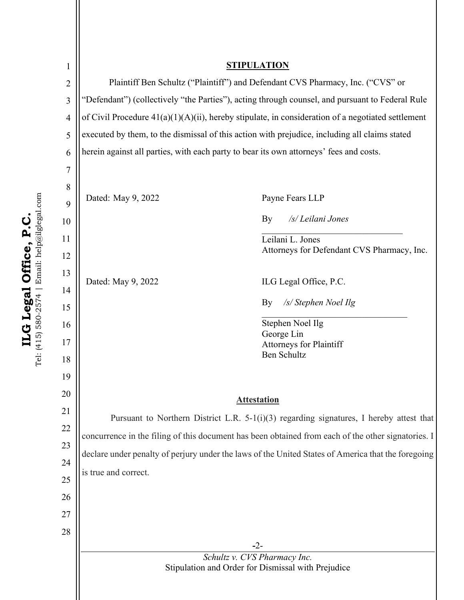| 1              | <b>STIPULATION</b>                                                                                   |                                                                                         |  |
|----------------|------------------------------------------------------------------------------------------------------|-----------------------------------------------------------------------------------------|--|
| $\overline{2}$ | Plaintiff Ben Schultz ("Plaintiff") and Defendant CVS Pharmacy, Inc. ("CVS" or                       |                                                                                         |  |
| $\overline{3}$ | "Defendant") (collectively "the Parties"), acting through counsel, and pursuant to Federal Rule      |                                                                                         |  |
| $\overline{4}$ | of Civil Procedure $41(a)(1)(A)(ii)$ , hereby stipulate, in consideration of a negotiated settlement |                                                                                         |  |
| 5              | executed by them, to the dismissal of this action with prejudice, including all claims stated        |                                                                                         |  |
| 6              | herein against all parties, with each party to bear its own attorneys' fees and costs.               |                                                                                         |  |
| 7              |                                                                                                      |                                                                                         |  |
| 8              |                                                                                                      |                                                                                         |  |
| 9              | Dated: May 9, 2022                                                                                   | Payne Fears LLP                                                                         |  |
| 10             |                                                                                                      | /s/ Leilani Jones<br>By                                                                 |  |
| 11             |                                                                                                      | Leilani L. Jones                                                                        |  |
| 12             |                                                                                                      | Attorneys for Defendant CVS Pharmacy, Inc.                                              |  |
| 13             |                                                                                                      |                                                                                         |  |
| 14             | Dated: May 9, 2022                                                                                   | ILG Legal Office, P.C.                                                                  |  |
| 15             |                                                                                                      | /s/ Stephen Noel Ilg<br>By                                                              |  |
| 16             |                                                                                                      | Stephen Noel Ilg                                                                        |  |
| 17             |                                                                                                      | George Lin<br><b>Attorneys for Plaintiff</b>                                            |  |
| 18             |                                                                                                      | <b>Ben Schultz</b>                                                                      |  |
| 19             |                                                                                                      |                                                                                         |  |
| 20             | <b>Attestation</b>                                                                                   |                                                                                         |  |
| 21             |                                                                                                      | Pursuant to Northern District L.R. 5-1(i)(3) regarding signatures, I hereby attest that |  |
| 22             |                                                                                                      |                                                                                         |  |
| 23             | concurrence in the filing of this document has been obtained from each of the other signatories. I   |                                                                                         |  |
| 24             | declare under penalty of perjury under the laws of the United States of America that the foregoing   |                                                                                         |  |
| 25             | is true and correct.                                                                                 |                                                                                         |  |
| 26             |                                                                                                      |                                                                                         |  |
| 27             |                                                                                                      |                                                                                         |  |
| 28             |                                                                                                      |                                                                                         |  |
|                |                                                                                                      | $-2-$                                                                                   |  |
|                | Schultz v. CVS Pharmacy Inc.<br>Stipulation and Order for Dismissal with Prejudice                   |                                                                                         |  |
|                |                                                                                                      |                                                                                         |  |
|                |                                                                                                      |                                                                                         |  |

ILG Legal Office, P.C.<br>Tel: (415) 580-2574 | Email: help@ilglegal.com Tel: (415) 580-2574 | Email: help@ilglegal.com **ILG Legal Office, P.C.**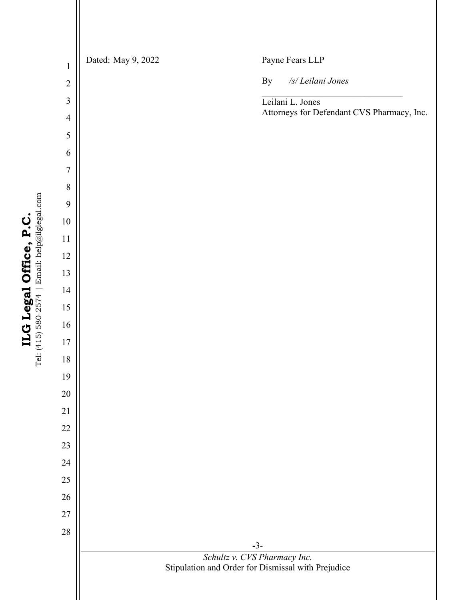**-**3- *Schultz v. CVS Pharmacy Inc.*  Stipulation and Order for Dismissal with Prejudice Dated: May 9, 2022 Payne Fears LLP By */s/ Leilani Jones* \_\_\_\_\_\_\_\_\_\_\_\_\_\_\_\_\_\_\_\_\_\_\_\_\_\_\_\_\_\_\_ Leilani L. Jones Attorneys for Defendant CVS Pharmacy, Inc.